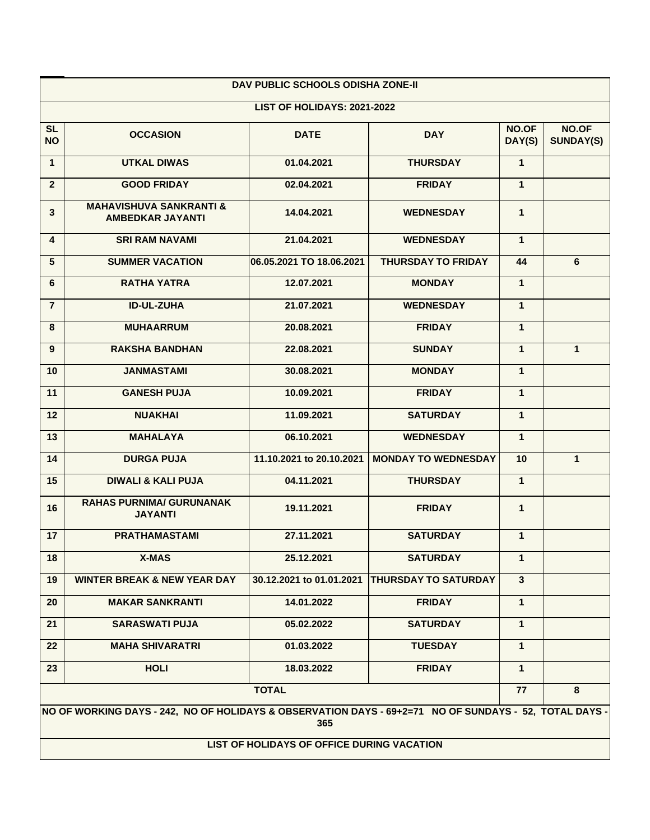| DAV PUBLIC SCHOOLS ODISHA ZONE-II                                                                                                                           |                                                               |                          |                             |                 |                           |  |  |  |  |
|-------------------------------------------------------------------------------------------------------------------------------------------------------------|---------------------------------------------------------------|--------------------------|-----------------------------|-----------------|---------------------------|--|--|--|--|
| LIST OF HOLIDAYS: 2021-2022                                                                                                                                 |                                                               |                          |                             |                 |                           |  |  |  |  |
| <b>SL</b><br><b>NO</b>                                                                                                                                      | <b>OCCASION</b>                                               | <b>DATE</b>              | <b>DAY</b>                  | NO.OF<br>DAY(S) | NO.OF<br><b>SUNDAY(S)</b> |  |  |  |  |
| $\mathbf{1}$                                                                                                                                                | <b>UTKAL DIWAS</b>                                            | 01.04.2021               | <b>THURSDAY</b>             | $\mathbf{1}$    |                           |  |  |  |  |
| $\overline{2}$                                                                                                                                              | <b>GOOD FRIDAY</b>                                            | 02.04.2021               | <b>FRIDAY</b>               | $\mathbf{1}$    |                           |  |  |  |  |
| 3                                                                                                                                                           | <b>MAHAVISHUVA SANKRANTI &amp;</b><br><b>AMBEDKAR JAYANTI</b> | 14.04.2021               | <b>WEDNESDAY</b>            | $\mathbf{1}$    |                           |  |  |  |  |
| 4                                                                                                                                                           | <b>SRI RAM NAVAMI</b>                                         | 21.04.2021               | <b>WEDNESDAY</b>            | 1               |                           |  |  |  |  |
| 5                                                                                                                                                           | <b>SUMMER VACATION</b>                                        | 06.05.2021 TO 18.06.2021 | <b>THURSDAY TO FRIDAY</b>   | 44              | 6                         |  |  |  |  |
| 6                                                                                                                                                           | <b>RATHA YATRA</b>                                            | 12.07.2021               | <b>MONDAY</b>               | $\overline{1}$  |                           |  |  |  |  |
| $\overline{7}$                                                                                                                                              | <b>ID-UL-ZUHA</b>                                             | 21.07.2021               | <b>WEDNESDAY</b>            | $\mathbf{1}$    |                           |  |  |  |  |
| 8                                                                                                                                                           | <b>MUHAARRUM</b>                                              | 20.08.2021               | <b>FRIDAY</b>               | $\mathbf{1}$    |                           |  |  |  |  |
| 9                                                                                                                                                           | <b>RAKSHA BANDHAN</b>                                         | 22.08.2021               | <b>SUNDAY</b>               | $\mathbf{1}$    | $\mathbf{1}$              |  |  |  |  |
| 10                                                                                                                                                          | <b>JANMASTAMI</b>                                             | 30.08.2021               | <b>MONDAY</b>               | $\mathbf{1}$    |                           |  |  |  |  |
| 11                                                                                                                                                          | <b>GANESH PUJA</b>                                            | 10.09.2021               | <b>FRIDAY</b>               | $\mathbf{1}$    |                           |  |  |  |  |
| 12                                                                                                                                                          | <b>NUAKHAI</b>                                                | 11.09.2021               | <b>SATURDAY</b>             | $\mathbf{1}$    |                           |  |  |  |  |
| 13                                                                                                                                                          | <b>MAHALAYA</b>                                               | 06.10.2021               | <b>WEDNESDAY</b>            | $\mathbf{1}$    |                           |  |  |  |  |
| 14                                                                                                                                                          | <b>DURGA PUJA</b>                                             | 11.10.2021 to 20.10.2021 | <b>MONDAY TO WEDNESDAY</b>  | 10              | $\mathbf{1}$              |  |  |  |  |
| 15                                                                                                                                                          | <b>DIWALI &amp; KALI PUJA</b>                                 | 04.11.2021               | <b>THURSDAY</b>             | $\mathbf{1}$    |                           |  |  |  |  |
| 16                                                                                                                                                          | <b>RAHAS PURNIMA/ GURUNANAK</b><br><b>JAYANTI</b>             | 19.11.2021               | <b>FRIDAY</b>               | $\mathbf{1}$    |                           |  |  |  |  |
| 17                                                                                                                                                          | <b>PRATHAMASTAMI</b>                                          | 27.11.2021               | <b>SATURDAY</b>             | 1               |                           |  |  |  |  |
| 18                                                                                                                                                          | <b>X-MAS</b>                                                  | 25.12.2021               | <b>SATURDAY</b>             | 1               |                           |  |  |  |  |
| 19                                                                                                                                                          | <b>WINTER BREAK &amp; NEW YEAR DAY</b>                        | 30.12.2021 to 01.01.2021 | <b>THURSDAY TO SATURDAY</b> | $\mathbf{3}$    |                           |  |  |  |  |
| 20                                                                                                                                                          | <b>MAKAR SANKRANTI</b>                                        | 14.01.2022               | <b>FRIDAY</b>               | $\mathbf{1}$    |                           |  |  |  |  |
| 21                                                                                                                                                          | <b>SARASWATI PUJA</b>                                         | 05.02.2022               | <b>SATURDAY</b>             | $\mathbf{1}$    |                           |  |  |  |  |
| 22                                                                                                                                                          | <b>MAHA SHIVARATRI</b>                                        | 01.03.2022               | <b>TUESDAY</b>              | $\mathbf{1}$    |                           |  |  |  |  |
| 23                                                                                                                                                          | <b>HOLI</b>                                                   | 18.03.2022               | <b>FRIDAY</b>               | $\mathbf{1}$    |                           |  |  |  |  |
|                                                                                                                                                             |                                                               | 77                       | 8                           |                 |                           |  |  |  |  |
| NO OF WORKING DAYS - 242, NO OF HOLIDAYS & OBSERVATION DAYS - 69+2=71 NO OF SUNDAYS - 52, TOTAL DAYS -<br>365<br>LIST OF HOLIDAYS OF OFFICE DURING VACATION |                                                               |                          |                             |                 |                           |  |  |  |  |